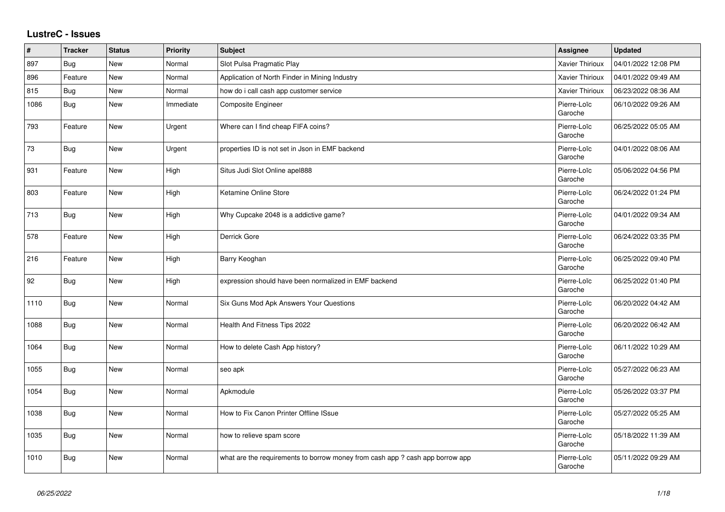## **LustreC - Issues**

| #    | <b>Tracker</b> | <b>Status</b> | Priority  | <b>Subject</b>                                                               | Assignee               | <b>Updated</b>      |
|------|----------------|---------------|-----------|------------------------------------------------------------------------------|------------------------|---------------------|
| 897  | Bug            | New           | Normal    | Slot Pulsa Pragmatic Play                                                    | <b>Xavier Thirioux</b> | 04/01/2022 12:08 PM |
| 896  | Feature        | <b>New</b>    | Normal    | Application of North Finder in Mining Industry                               | <b>Xavier Thirioux</b> | 04/01/2022 09:49 AM |
| 815  | <b>Bug</b>     | New           | Normal    | how do i call cash app customer service                                      | Xavier Thirioux        | 06/23/2022 08:36 AM |
| 1086 | <b>Bug</b>     | <b>New</b>    | Immediate | Composite Engineer                                                           | Pierre-Loïc<br>Garoche | 06/10/2022 09:26 AM |
| 793  | Feature        | New           | Urgent    | Where can I find cheap FIFA coins?                                           | Pierre-Loïc<br>Garoche | 06/25/2022 05:05 AM |
| 73   | <b>Bug</b>     | New           | Urgent    | properties ID is not set in Json in EMF backend                              | Pierre-Loïc<br>Garoche | 04/01/2022 08:06 AM |
| 931  | Feature        | New           | High      | Situs Judi Slot Online apel888                                               | Pierre-Loïc<br>Garoche | 05/06/2022 04:56 PM |
| 803  | Feature        | <b>New</b>    | High      | Ketamine Online Store                                                        | Pierre-Loïc<br>Garoche | 06/24/2022 01:24 PM |
| 713  | Bug            | New           | High      | Why Cupcake 2048 is a addictive game?                                        | Pierre-Loïc<br>Garoche | 04/01/2022 09:34 AM |
| 578  | Feature        | <b>New</b>    | High      | Derrick Gore                                                                 | Pierre-Loïc<br>Garoche | 06/24/2022 03:35 PM |
| 216  | Feature        | New           | High      | Barry Keoghan                                                                | Pierre-Loïc<br>Garoche | 06/25/2022 09:40 PM |
| 92   | <b>Bug</b>     | New           | High      | expression should have been normalized in EMF backend                        | Pierre-Loïc<br>Garoche | 06/25/2022 01:40 PM |
| 1110 | <b>Bug</b>     | New           | Normal    | Six Guns Mod Apk Answers Your Questions                                      | Pierre-Loïc<br>Garoche | 06/20/2022 04:42 AM |
| 1088 | Bug            | New           | Normal    | Health And Fitness Tips 2022                                                 | Pierre-Loïc<br>Garoche | 06/20/2022 06:42 AM |
| 1064 | Bug            | New           | Normal    | How to delete Cash App history?                                              | Pierre-Loïc<br>Garoche | 06/11/2022 10:29 AM |
| 1055 | Bug            | New           | Normal    | seo apk                                                                      | Pierre-Loïc<br>Garoche | 05/27/2022 06:23 AM |
| 1054 | <b>Bug</b>     | New           | Normal    | Apkmodule                                                                    | Pierre-Loïc<br>Garoche | 05/26/2022 03:37 PM |
| 1038 | <b>Bug</b>     | New           | Normal    | How to Fix Canon Printer Offline ISsue                                       | Pierre-Loïc<br>Garoche | 05/27/2022 05:25 AM |
| 1035 | Bug            | New           | Normal    | how to relieve spam score                                                    | Pierre-Loïc<br>Garoche | 05/18/2022 11:39 AM |
| 1010 | <b>Bug</b>     | New           | Normal    | what are the requirements to borrow money from cash app? cash app borrow app | Pierre-Loïc<br>Garoche | 05/11/2022 09:29 AM |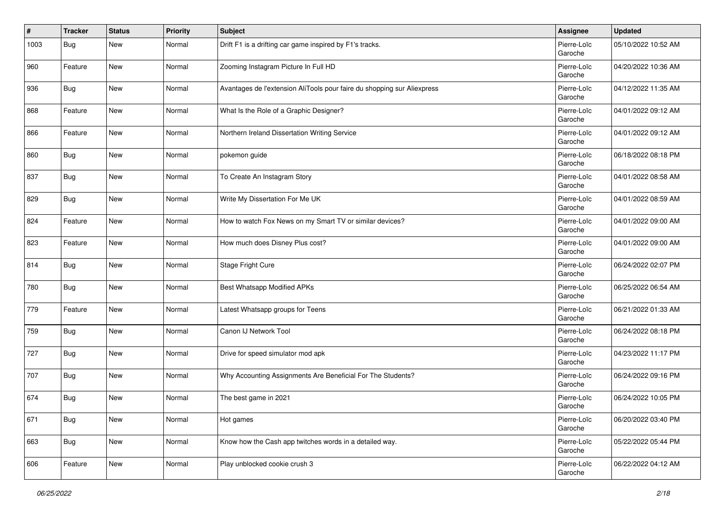| $\sharp$ | <b>Tracker</b> | <b>Status</b> | <b>Priority</b> | <b>Subject</b>                                                          | Assignee               | <b>Updated</b>      |
|----------|----------------|---------------|-----------------|-------------------------------------------------------------------------|------------------------|---------------------|
| 1003     | Bug            | New           | Normal          | Drift F1 is a drifting car game inspired by F1's tracks.                | Pierre-Loïc<br>Garoche | 05/10/2022 10:52 AM |
| 960      | Feature        | <b>New</b>    | Normal          | Zooming Instagram Picture In Full HD                                    | Pierre-Loïc<br>Garoche | 04/20/2022 10:36 AM |
| 936      | Bug            | New           | Normal          | Avantages de l'extension AliTools pour faire du shopping sur Aliexpress | Pierre-Loïc<br>Garoche | 04/12/2022 11:35 AM |
| 868      | Feature        | New           | Normal          | What Is the Role of a Graphic Designer?                                 | Pierre-Loïc<br>Garoche | 04/01/2022 09:12 AM |
| 866      | Feature        | New           | Normal          | Northern Ireland Dissertation Writing Service                           | Pierre-Loïc<br>Garoche | 04/01/2022 09:12 AM |
| 860      | Bug            | New           | Normal          | pokemon guide                                                           | Pierre-Loïc<br>Garoche | 06/18/2022 08:18 PM |
| 837      | Bug            | New           | Normal          | To Create An Instagram Story                                            | Pierre-Loïc<br>Garoche | 04/01/2022 08:58 AM |
| 829      | Bug            | New           | Normal          | Write My Dissertation For Me UK                                         | Pierre-Loïc<br>Garoche | 04/01/2022 08:59 AM |
| 824      | Feature        | New           | Normal          | How to watch Fox News on my Smart TV or similar devices?                | Pierre-Loïc<br>Garoche | 04/01/2022 09:00 AM |
| 823      | Feature        | New           | Normal          | How much does Disney Plus cost?                                         | Pierre-Loïc<br>Garoche | 04/01/2022 09:00 AM |
| 814      | <b>Bug</b>     | New           | Normal          | Stage Fright Cure                                                       | Pierre-Loïc<br>Garoche | 06/24/2022 02:07 PM |
| 780      | Bug            | New           | Normal          | <b>Best Whatsapp Modified APKs</b>                                      | Pierre-Loïc<br>Garoche | 06/25/2022 06:54 AM |
| 779      | Feature        | <b>New</b>    | Normal          | Latest Whatsapp groups for Teens                                        | Pierre-Loïc<br>Garoche | 06/21/2022 01:33 AM |
| 759      | Bug            | New           | Normal          | Canon IJ Network Tool                                                   | Pierre-Loïc<br>Garoche | 06/24/2022 08:18 PM |
| 727      | Bug            | New           | Normal          | Drive for speed simulator mod apk                                       | Pierre-Loïc<br>Garoche | 04/23/2022 11:17 PM |
| 707      | <b>Bug</b>     | <b>New</b>    | Normal          | Why Accounting Assignments Are Beneficial For The Students?             | Pierre-Loïc<br>Garoche | 06/24/2022 09:16 PM |
| 674      | <b>Bug</b>     | New           | Normal          | The best game in 2021                                                   | Pierre-Loïc<br>Garoche | 06/24/2022 10:05 PM |
| 671      | Bug            | <b>New</b>    | Normal          | Hot games                                                               | Pierre-Loïc<br>Garoche | 06/20/2022 03:40 PM |
| 663      | Bug            | New           | Normal          | Know how the Cash app twitches words in a detailed way.                 | Pierre-Loïc<br>Garoche | 05/22/2022 05:44 PM |
| 606      | Feature        | New           | Normal          | Play unblocked cookie crush 3                                           | Pierre-Loïc<br>Garoche | 06/22/2022 04:12 AM |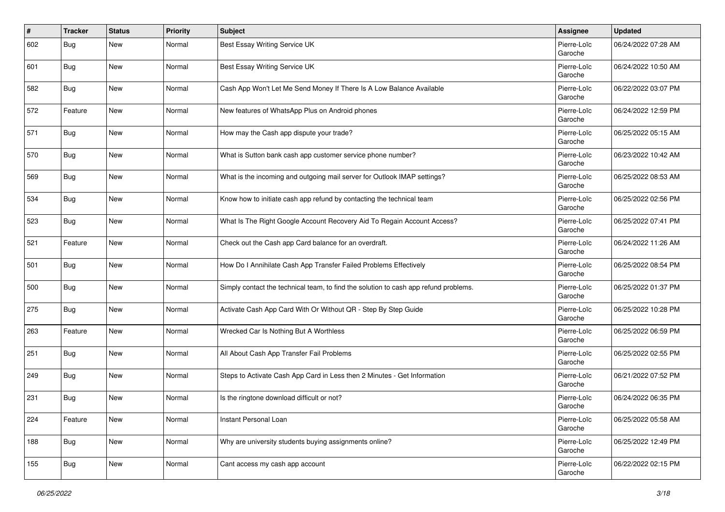| $\vert$ # | <b>Tracker</b> | <b>Status</b> | <b>Priority</b> | <b>Subject</b>                                                                       | Assignee               | <b>Updated</b>      |
|-----------|----------------|---------------|-----------------|--------------------------------------------------------------------------------------|------------------------|---------------------|
| 602       | Bug            | New           | Normal          | Best Essay Writing Service UK                                                        | Pierre-Loïc<br>Garoche | 06/24/2022 07:28 AM |
| 601       | Bug            | <b>New</b>    | Normal          | Best Essay Writing Service UK                                                        | Pierre-Loïc<br>Garoche | 06/24/2022 10:50 AM |
| 582       | Bug            | <b>New</b>    | Normal          | Cash App Won't Let Me Send Money If There Is A Low Balance Available                 | Pierre-Loïc<br>Garoche | 06/22/2022 03:07 PM |
| 572       | Feature        | <b>New</b>    | Normal          | New features of WhatsApp Plus on Android phones                                      | Pierre-Loïc<br>Garoche | 06/24/2022 12:59 PM |
| 571       | Bug            | <b>New</b>    | Normal          | How may the Cash app dispute your trade?                                             | Pierre-Loïc<br>Garoche | 06/25/2022 05:15 AM |
| 570       | Bug            | <b>New</b>    | Normal          | What is Sutton bank cash app customer service phone number?                          | Pierre-Loïc<br>Garoche | 06/23/2022 10:42 AM |
| 569       | Bug            | <b>New</b>    | Normal          | What is the incoming and outgoing mail server for Outlook IMAP settings?             | Pierre-Loïc<br>Garoche | 06/25/2022 08:53 AM |
| 534       | Bug            | <b>New</b>    | Normal          | Know how to initiate cash app refund by contacting the technical team                | Pierre-Loïc<br>Garoche | 06/25/2022 02:56 PM |
| 523       | <b>Bug</b>     | <b>New</b>    | Normal          | What Is The Right Google Account Recovery Aid To Regain Account Access?              | Pierre-Loïc<br>Garoche | 06/25/2022 07:41 PM |
| 521       | Feature        | New           | Normal          | Check out the Cash app Card balance for an overdraft.                                | Pierre-Loïc<br>Garoche | 06/24/2022 11:26 AM |
| 501       | Bug            | <b>New</b>    | Normal          | How Do I Annihilate Cash App Transfer Failed Problems Effectively                    | Pierre-Loïc<br>Garoche | 06/25/2022 08:54 PM |
| 500       | Bug            | <b>New</b>    | Normal          | Simply contact the technical team, to find the solution to cash app refund problems. | Pierre-Loïc<br>Garoche | 06/25/2022 01:37 PM |
| 275       | Bug            | <b>New</b>    | Normal          | Activate Cash App Card With Or Without QR - Step By Step Guide                       | Pierre-Loïc<br>Garoche | 06/25/2022 10:28 PM |
| 263       | Feature        | <b>New</b>    | Normal          | Wrecked Car Is Nothing But A Worthless                                               | Pierre-Loïc<br>Garoche | 06/25/2022 06:59 PM |
| 251       | Bug            | <b>New</b>    | Normal          | All About Cash App Transfer Fail Problems                                            | Pierre-Loïc<br>Garoche | 06/25/2022 02:55 PM |
| 249       | Bug            | <b>New</b>    | Normal          | Steps to Activate Cash App Card in Less then 2 Minutes - Get Information             | Pierre-Loïc<br>Garoche | 06/21/2022 07:52 PM |
| 231       | Bug            | <b>New</b>    | Normal          | Is the ringtone download difficult or not?                                           | Pierre-Loïc<br>Garoche | 06/24/2022 06:35 PM |
| 224       | Feature        | New           | Normal          | Instant Personal Loan                                                                | Pierre-Loïc<br>Garoche | 06/25/2022 05:58 AM |
| 188       | <b>Bug</b>     | New           | Normal          | Why are university students buying assignments online?                               | Pierre-Loïc<br>Garoche | 06/25/2022 12:49 PM |
| 155       | <b>Bug</b>     | New           | Normal          | Cant access my cash app account                                                      | Pierre-Loïc<br>Garoche | 06/22/2022 02:15 PM |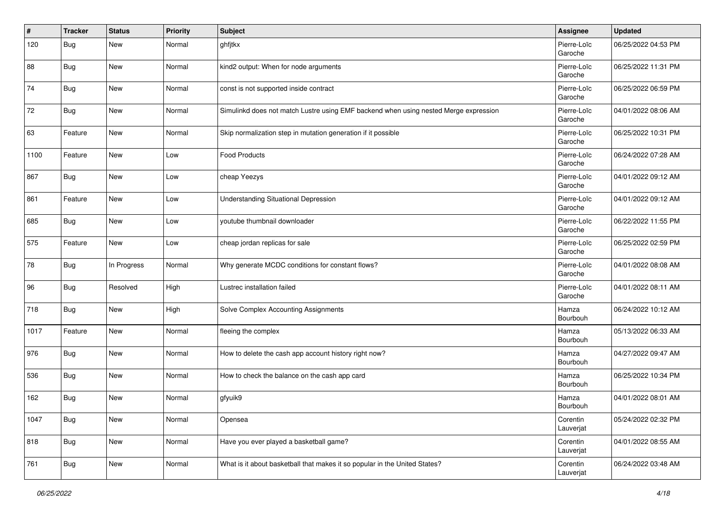| #    | <b>Tracker</b> | <b>Status</b> | <b>Priority</b> | <b>Subject</b>                                                                       | Assignee               | <b>Updated</b>      |
|------|----------------|---------------|-----------------|--------------------------------------------------------------------------------------|------------------------|---------------------|
| 120  | Bug            | New           | Normal          | ghfjtkx                                                                              | Pierre-Loïc<br>Garoche | 06/25/2022 04:53 PM |
| 88   | <b>Bug</b>     | <b>New</b>    | Normal          | kind2 output: When for node arguments                                                | Pierre-Loïc<br>Garoche | 06/25/2022 11:31 PM |
| 74   | Bug            | <b>New</b>    | Normal          | const is not supported inside contract                                               | Pierre-Loïc<br>Garoche | 06/25/2022 06:59 PM |
| 72   | Bug            | New           | Normal          | Simulinkd does not match Lustre using EMF backend when using nested Merge expression | Pierre-Loïc<br>Garoche | 04/01/2022 08:06 AM |
| 63   | Feature        | New           | Normal          | Skip normalization step in mutation generation if it possible                        | Pierre-Loïc<br>Garoche | 06/25/2022 10:31 PM |
| 1100 | Feature        | New           | Low             | Food Products                                                                        | Pierre-Loïc<br>Garoche | 06/24/2022 07:28 AM |
| 867  | <b>Bug</b>     | New           | Low             | cheap Yeezys                                                                         | Pierre-Loïc<br>Garoche | 04/01/2022 09:12 AM |
| 861  | Feature        | New           | Low             | <b>Understanding Situational Depression</b>                                          | Pierre-Loïc<br>Garoche | 04/01/2022 09:12 AM |
| 685  | <b>Bug</b>     | New           | Low             | youtube thumbnail downloader                                                         | Pierre-Loïc<br>Garoche | 06/22/2022 11:55 PM |
| 575  | Feature        | New           | Low             | cheap jordan replicas for sale                                                       | Pierre-Loïc<br>Garoche | 06/25/2022 02:59 PM |
| 78   | Bug            | In Progress   | Normal          | Why generate MCDC conditions for constant flows?                                     | Pierre-Loïc<br>Garoche | 04/01/2022 08:08 AM |
| 96   | Bug            | Resolved      | High            | Lustrec installation failed                                                          | Pierre-Loïc<br>Garoche | 04/01/2022 08:11 AM |
| 718  | <b>Bug</b>     | New           | High            | Solve Complex Accounting Assignments                                                 | Hamza<br>Bourbouh      | 06/24/2022 10:12 AM |
| 1017 | Feature        | New           | Normal          | fleeing the complex                                                                  | Hamza<br>Bourbouh      | 05/13/2022 06:33 AM |
| 976  | Bug            | New           | Normal          | How to delete the cash app account history right now?                                | Hamza<br>Bourbouh      | 04/27/2022 09:47 AM |
| 536  | <b>Bug</b>     | <b>New</b>    | Normal          | How to check the balance on the cash app card                                        | Hamza<br>Bourbouh      | 06/25/2022 10:34 PM |
| 162  | <b>Bug</b>     | <b>New</b>    | Normal          | gfyuik9                                                                              | Hamza<br>Bourbouh      | 04/01/2022 08:01 AM |
| 1047 | <b>Bug</b>     | New           | Normal          | Opensea                                                                              | Corentin<br>Lauverjat  | 05/24/2022 02:32 PM |
| 818  | <b>Bug</b>     | New           | Normal          | Have you ever played a basketball game?                                              | Corentin<br>Lauverjat  | 04/01/2022 08:55 AM |
| 761  | <b>Bug</b>     | New           | Normal          | What is it about basketball that makes it so popular in the United States?           | Corentin<br>Lauverjat  | 06/24/2022 03:48 AM |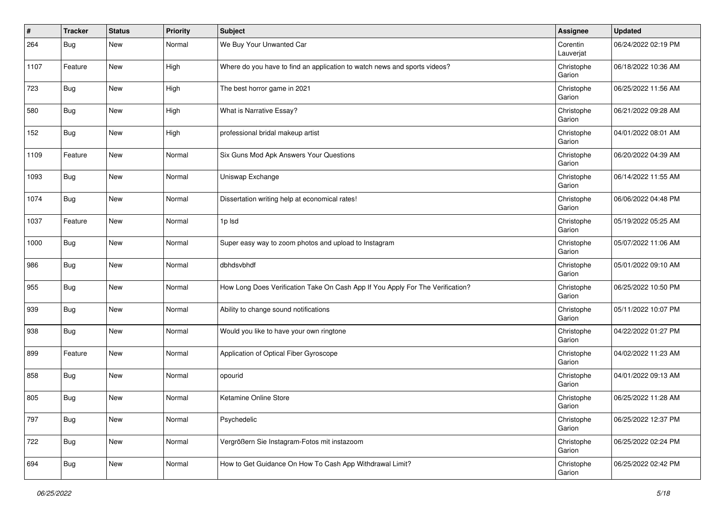| #    | <b>Tracker</b> | <b>Status</b> | <b>Priority</b> | <b>Subject</b>                                                                 | Assignee              | <b>Updated</b>      |
|------|----------------|---------------|-----------------|--------------------------------------------------------------------------------|-----------------------|---------------------|
| 264  | Bug            | New           | Normal          | We Buy Your Unwanted Car                                                       | Corentin<br>Lauverjat | 06/24/2022 02:19 PM |
| 1107 | Feature        | New           | High            | Where do you have to find an application to watch news and sports videos?      | Christophe<br>Garion  | 06/18/2022 10:36 AM |
| 723  | Bug            | <b>New</b>    | High            | The best horror game in 2021                                                   | Christophe<br>Garion  | 06/25/2022 11:56 AM |
| 580  | Bug            | New           | High            | What is Narrative Essay?                                                       | Christophe<br>Garion  | 06/21/2022 09:28 AM |
| 152  | Bug            | New           | High            | professional bridal makeup artist                                              | Christophe<br>Garion  | 04/01/2022 08:01 AM |
| 1109 | Feature        | New           | Normal          | Six Guns Mod Apk Answers Your Questions                                        | Christophe<br>Garion  | 06/20/2022 04:39 AM |
| 1093 | <b>Bug</b>     | <b>New</b>    | Normal          | Uniswap Exchange                                                               | Christophe<br>Garion  | 06/14/2022 11:55 AM |
| 1074 | <b>Bug</b>     | <b>New</b>    | Normal          | Dissertation writing help at economical rates!                                 | Christophe<br>Garion  | 06/06/2022 04:48 PM |
| 1037 | Feature        | <b>New</b>    | Normal          | 1p lsd                                                                         | Christophe<br>Garion  | 05/19/2022 05:25 AM |
| 1000 | <b>Bug</b>     | <b>New</b>    | Normal          | Super easy way to zoom photos and upload to Instagram                          | Christophe<br>Garion  | 05/07/2022 11:06 AM |
| 986  | Bug            | New           | Normal          | dbhdsvbhdf                                                                     | Christophe<br>Garion  | 05/01/2022 09:10 AM |
| 955  | Bug            | New           | Normal          | How Long Does Verification Take On Cash App If You Apply For The Verification? | Christophe<br>Garion  | 06/25/2022 10:50 PM |
| 939  | <b>Bug</b>     | New           | Normal          | Ability to change sound notifications                                          | Christophe<br>Garion  | 05/11/2022 10:07 PM |
| 938  | <b>Bug</b>     | <b>New</b>    | Normal          | Would you like to have your own ringtone                                       | Christophe<br>Garion  | 04/22/2022 01:27 PM |
| 899  | Feature        | <b>New</b>    | Normal          | Application of Optical Fiber Gyroscope                                         | Christophe<br>Garion  | 04/02/2022 11:23 AM |
| 858  | <b>Bug</b>     | <b>New</b>    | Normal          | opourid                                                                        | Christophe<br>Garion  | 04/01/2022 09:13 AM |
| 805  | <b>Bug</b>     | <b>New</b>    | Normal          | Ketamine Online Store                                                          | Christophe<br>Garion  | 06/25/2022 11:28 AM |
| 797  | <b>Bug</b>     | New           | Normal          | Psychedelic                                                                    | Christophe<br>Garion  | 06/25/2022 12:37 PM |
| 722  | <b>Bug</b>     | New           | Normal          | Vergrößern Sie Instagram-Fotos mit instazoom                                   | Christophe<br>Garion  | 06/25/2022 02:24 PM |
| 694  | Bug            | New           | Normal          | How to Get Guidance On How To Cash App Withdrawal Limit?                       | Christophe<br>Garion  | 06/25/2022 02:42 PM |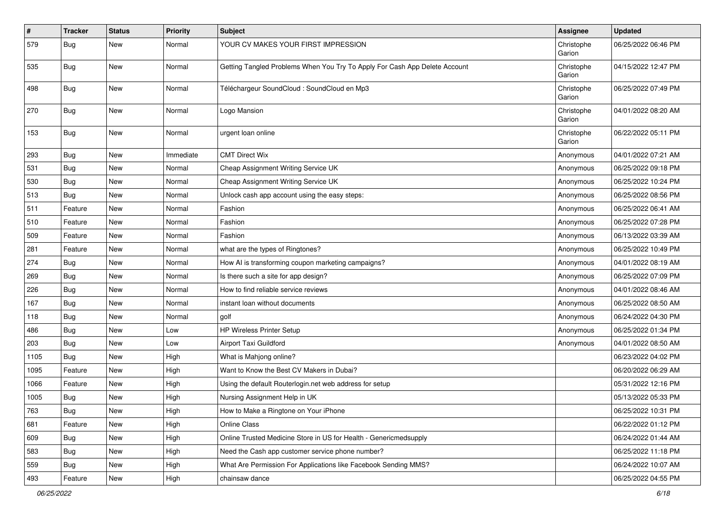| #    | <b>Tracker</b> | <b>Status</b> | <b>Priority</b> | <b>Subject</b>                                                             | Assignee             | <b>Updated</b>      |
|------|----------------|---------------|-----------------|----------------------------------------------------------------------------|----------------------|---------------------|
| 579  | <b>Bug</b>     | <b>New</b>    | Normal          | YOUR CV MAKES YOUR FIRST IMPRESSION                                        | Christophe<br>Garion | 06/25/2022 06:46 PM |
| 535  | Bug            | <b>New</b>    | Normal          | Getting Tangled Problems When You Try To Apply For Cash App Delete Account | Christophe<br>Garion | 04/15/2022 12:47 PM |
| 498  | Bug            | <b>New</b>    | Normal          | Téléchargeur SoundCloud : SoundCloud en Mp3                                | Christophe<br>Garion | 06/25/2022 07:49 PM |
| 270  | Bug            | <b>New</b>    | Normal          | Logo Mansion                                                               | Christophe<br>Garion | 04/01/2022 08:20 AM |
| 153  | Bug            | <b>New</b>    | Normal          | urgent loan online                                                         | Christophe<br>Garion | 06/22/2022 05:11 PM |
| 293  | Bug            | New           | Immediate       | <b>CMT Direct Wix</b>                                                      | Anonymous            | 04/01/2022 07:21 AM |
| 531  | <b>Bug</b>     | <b>New</b>    | Normal          | Cheap Assignment Writing Service UK                                        | Anonymous            | 06/25/2022 09:18 PM |
| 530  | Bug            | <b>New</b>    | Normal          | Cheap Assignment Writing Service UK                                        | Anonymous            | 06/25/2022 10:24 PM |
| 513  | <b>Bug</b>     | <b>New</b>    | Normal          | Unlock cash app account using the easy steps:                              | Anonymous            | 06/25/2022 08:56 PM |
| 511  | Feature        | <b>New</b>    | Normal          | Fashion                                                                    | Anonymous            | 06/25/2022 06:41 AM |
| 510  | Feature        | New           | Normal          | Fashion                                                                    | Anonymous            | 06/25/2022 07:28 PM |
| 509  | Feature        | <b>New</b>    | Normal          | Fashion                                                                    | Anonymous            | 06/13/2022 03:39 AM |
| 281  | Feature        | <b>New</b>    | Normal          | what are the types of Ringtones?                                           | Anonymous            | 06/25/2022 10:49 PM |
| 274  | Bug            | New           | Normal          | How AI is transforming coupon marketing campaigns?                         | Anonymous            | 04/01/2022 08:19 AM |
| 269  | Bug            | <b>New</b>    | Normal          | Is there such a site for app design?                                       | Anonymous            | 06/25/2022 07:09 PM |
| 226  | <b>Bug</b>     | <b>New</b>    | Normal          | How to find reliable service reviews                                       | Anonymous            | 04/01/2022 08:46 AM |
| 167  | <b>Bug</b>     | <b>New</b>    | Normal          | instant loan without documents                                             | Anonymous            | 06/25/2022 08:50 AM |
| 118  | <b>Bug</b>     | <b>New</b>    | Normal          | golf                                                                       | Anonymous            | 06/24/2022 04:30 PM |
| 486  | Bug            | New           | Low             | HP Wireless Printer Setup                                                  | Anonymous            | 06/25/2022 01:34 PM |
| 203  | <b>Bug</b>     | <b>New</b>    | Low             | Airport Taxi Guildford                                                     | Anonymous            | 04/01/2022 08:50 AM |
| 1105 | Bug            | <b>New</b>    | High            | What is Mahjong online?                                                    |                      | 06/23/2022 04:02 PM |
| 1095 | Feature        | <b>New</b>    | High            | Want to Know the Best CV Makers in Dubai?                                  |                      | 06/20/2022 06:29 AM |
| 1066 | Feature        | <b>New</b>    | High            | Using the default Routerlogin.net web address for setup                    |                      | 05/31/2022 12:16 PM |
| 1005 | <b>Bug</b>     | <b>New</b>    | High            | Nursing Assignment Help in UK                                              |                      | 05/13/2022 05:33 PM |
| 763  | Bug            | New           | High            | How to Make a Ringtone on Your iPhone                                      |                      | 06/25/2022 10:31 PM |
| 681  | Feature        | New           | High            | Online Class                                                               |                      | 06/22/2022 01:12 PM |
| 609  | Bug            | New           | High            | Online Trusted Medicine Store in US for Health - Genericmedsupply          |                      | 06/24/2022 01:44 AM |
| 583  | Bug            | New           | High            | Need the Cash app customer service phone number?                           |                      | 06/25/2022 11:18 PM |
| 559  | Bug            | New           | High            | What Are Permission For Applications like Facebook Sending MMS?            |                      | 06/24/2022 10:07 AM |
| 493  | Feature        | New           | High            | chainsaw dance                                                             |                      | 06/25/2022 04:55 PM |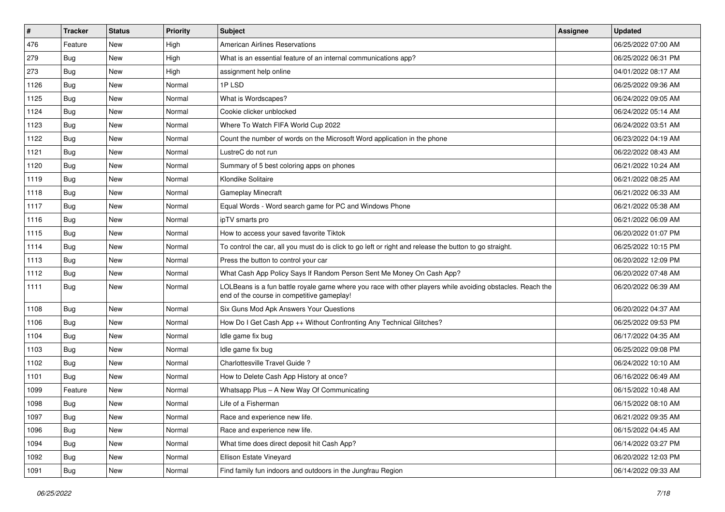| $\vert$ # | <b>Tracker</b> | <b>Status</b> | <b>Priority</b> | <b>Subject</b>                                                                                                                                           | Assignee | <b>Updated</b>      |
|-----------|----------------|---------------|-----------------|----------------------------------------------------------------------------------------------------------------------------------------------------------|----------|---------------------|
| 476       | Feature        | <b>New</b>    | High            | <b>American Airlines Reservations</b>                                                                                                                    |          | 06/25/2022 07:00 AM |
| 279       | Bug            | <b>New</b>    | High            | What is an essential feature of an internal communications app?                                                                                          |          | 06/25/2022 06:31 PM |
| 273       | Bug            | <b>New</b>    | High            | assignment help online                                                                                                                                   |          | 04/01/2022 08:17 AM |
| 1126      | Bug            | <b>New</b>    | Normal          | 1PLSD                                                                                                                                                    |          | 06/25/2022 09:36 AM |
| 1125      | Bug            | <b>New</b>    | Normal          | What is Wordscapes?                                                                                                                                      |          | 06/24/2022 09:05 AM |
| 1124      | Bug            | <b>New</b>    | Normal          | Cookie clicker unblocked                                                                                                                                 |          | 06/24/2022 05:14 AM |
| 1123      | Bug            | <b>New</b>    | Normal          | Where To Watch FIFA World Cup 2022                                                                                                                       |          | 06/24/2022 03:51 AM |
| 1122      | Bug            | <b>New</b>    | Normal          | Count the number of words on the Microsoft Word application in the phone                                                                                 |          | 06/23/2022 04:19 AM |
| 1121      | Bug            | <b>New</b>    | Normal          | LustreC do not run                                                                                                                                       |          | 06/22/2022 08:43 AM |
| 1120      | Bug            | <b>New</b>    | Normal          | Summary of 5 best coloring apps on phones                                                                                                                |          | 06/21/2022 10:24 AM |
| 1119      | Bug            | <b>New</b>    | Normal          | Klondike Solitaire                                                                                                                                       |          | 06/21/2022 08:25 AM |
| 1118      | Bug            | <b>New</b>    | Normal          | <b>Gameplay Minecraft</b>                                                                                                                                |          | 06/21/2022 06:33 AM |
| 1117      | Bug            | <b>New</b>    | Normal          | Equal Words - Word search game for PC and Windows Phone                                                                                                  |          | 06/21/2022 05:38 AM |
| 1116      | Bug            | <b>New</b>    | Normal          | ipTV smarts pro                                                                                                                                          |          | 06/21/2022 06:09 AM |
| 1115      | Bug            | <b>New</b>    | Normal          | How to access your saved favorite Tiktok                                                                                                                 |          | 06/20/2022 01:07 PM |
| 1114      | Bug            | <b>New</b>    | Normal          | To control the car, all you must do is click to go left or right and release the button to go straight.                                                  |          | 06/25/2022 10:15 PM |
| 1113      | Bug            | <b>New</b>    | Normal          | Press the button to control your car                                                                                                                     |          | 06/20/2022 12:09 PM |
| 1112      | Bug            | <b>New</b>    | Normal          | What Cash App Policy Says If Random Person Sent Me Money On Cash App?                                                                                    |          | 06/20/2022 07:48 AM |
| 1111      | Bug            | <b>New</b>    | Normal          | LOLBeans is a fun battle royale game where you race with other players while avoiding obstacles. Reach the<br>end of the course in competitive gameplay! |          | 06/20/2022 06:39 AM |
| 1108      | Bug            | <b>New</b>    | Normal          | Six Guns Mod Apk Answers Your Questions                                                                                                                  |          | 06/20/2022 04:37 AM |
| 1106      | Bug            | <b>New</b>    | Normal          | How Do I Get Cash App ++ Without Confronting Any Technical Glitches?                                                                                     |          | 06/25/2022 09:53 PM |
| 1104      | Bug            | <b>New</b>    | Normal          | Idle game fix bug                                                                                                                                        |          | 06/17/2022 04:35 AM |
| 1103      | Bug            | <b>New</b>    | Normal          | Idle game fix bug                                                                                                                                        |          | 06/25/2022 09:08 PM |
| 1102      | Bug            | <b>New</b>    | Normal          | Charlottesville Travel Guide?                                                                                                                            |          | 06/24/2022 10:10 AM |
| 1101      | Bug            | <b>New</b>    | Normal          | How to Delete Cash App History at once?                                                                                                                  |          | 06/16/2022 06:49 AM |
| 1099      | Feature        | <b>New</b>    | Normal          | Whatsapp Plus - A New Way Of Communicating                                                                                                               |          | 06/15/2022 10:48 AM |
| 1098      | <b>Bug</b>     | <b>New</b>    | Normal          | Life of a Fisherman                                                                                                                                      |          | 06/15/2022 08:10 AM |
| 1097      | <b>Bug</b>     | New           | Normal          | Race and experience new life.                                                                                                                            |          | 06/21/2022 09:35 AM |
| 1096      | Bug            | New           | Normal          | Race and experience new life.                                                                                                                            |          | 06/15/2022 04:45 AM |
| 1094      | <b>Bug</b>     | New           | Normal          | What time does direct deposit hit Cash App?                                                                                                              |          | 06/14/2022 03:27 PM |
| 1092      | <b>Bug</b>     | New           | Normal          | Ellison Estate Vineyard                                                                                                                                  |          | 06/20/2022 12:03 PM |
| 1091      | <b>Bug</b>     | New           | Normal          | Find family fun indoors and outdoors in the Jungfrau Region                                                                                              |          | 06/14/2022 09:33 AM |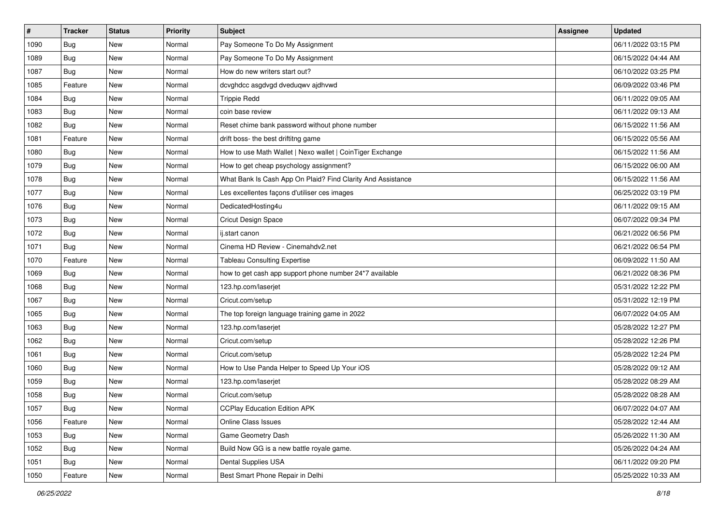| $\vert$ # | <b>Tracker</b> | <b>Status</b> | <b>Priority</b> | <b>Subject</b>                                              | Assignee | <b>Updated</b>      |
|-----------|----------------|---------------|-----------------|-------------------------------------------------------------|----------|---------------------|
| 1090      | <b>Bug</b>     | New           | Normal          | Pay Someone To Do My Assignment                             |          | 06/11/2022 03:15 PM |
| 1089      | Bug            | <b>New</b>    | Normal          | Pay Someone To Do My Assignment                             |          | 06/15/2022 04:44 AM |
| 1087      | <b>Bug</b>     | New           | Normal          | How do new writers start out?                               |          | 06/10/2022 03:25 PM |
| 1085      | Feature        | <b>New</b>    | Normal          | dcvghdcc asgdvgd dveduqwv ajdhvwd                           |          | 06/09/2022 03:46 PM |
| 1084      | Bug            | <b>New</b>    | Normal          | <b>Trippie Redd</b>                                         |          | 06/11/2022 09:05 AM |
| 1083      | Bug            | <b>New</b>    | Normal          | coin base review                                            |          | 06/11/2022 09:13 AM |
| 1082      | Bug            | <b>New</b>    | Normal          | Reset chime bank password without phone number              |          | 06/15/2022 11:56 AM |
| 1081      | Feature        | New           | Normal          | drift boss- the best driftitng game                         |          | 06/15/2022 05:56 AM |
| 1080      | Bug            | <b>New</b>    | Normal          | How to use Math Wallet   Nexo wallet   CoinTiger Exchange   |          | 06/15/2022 11:56 AM |
| 1079      | Bug            | <b>New</b>    | Normal          | How to get cheap psychology assignment?                     |          | 06/15/2022 06:00 AM |
| 1078      | Bug            | New           | Normal          | What Bank Is Cash App On Plaid? Find Clarity And Assistance |          | 06/15/2022 11:56 AM |
| 1077      | Bug            | <b>New</b>    | Normal          | Les excellentes façons d'utiliser ces images                |          | 06/25/2022 03:19 PM |
| 1076      | Bug            | <b>New</b>    | Normal          | DedicatedHosting4u                                          |          | 06/11/2022 09:15 AM |
| 1073      | Bug            | <b>New</b>    | Normal          | <b>Cricut Design Space</b>                                  |          | 06/07/2022 09:34 PM |
| 1072      | <b>Bug</b>     | <b>New</b>    | Normal          | ij.start canon                                              |          | 06/21/2022 06:56 PM |
| 1071      | <b>Bug</b>     | New           | Normal          | Cinema HD Review - Cinemahdv2.net                           |          | 06/21/2022 06:54 PM |
| 1070      | Feature        | New           | Normal          | <b>Tableau Consulting Expertise</b>                         |          | 06/09/2022 11:50 AM |
| 1069      | Bug            | <b>New</b>    | Normal          | how to get cash app support phone number 24*7 available     |          | 06/21/2022 08:36 PM |
| 1068      | <b>Bug</b>     | <b>New</b>    | Normal          | 123.hp.com/laserjet                                         |          | 05/31/2022 12:22 PM |
| 1067      | Bug            | <b>New</b>    | Normal          | Cricut.com/setup                                            |          | 05/31/2022 12:19 PM |
| 1065      | Bug            | New           | Normal          | The top foreign language training game in 2022              |          | 06/07/2022 04:05 AM |
| 1063      | Bug            | <b>New</b>    | Normal          | 123.hp.com/laserjet                                         |          | 05/28/2022 12:27 PM |
| 1062      | Bug            | <b>New</b>    | Normal          | Cricut.com/setup                                            |          | 05/28/2022 12:26 PM |
| 1061      | Bug            | <b>New</b>    | Normal          | Cricut.com/setup                                            |          | 05/28/2022 12:24 PM |
| 1060      | Bug            | <b>New</b>    | Normal          | How to Use Panda Helper to Speed Up Your iOS                |          | 05/28/2022 09:12 AM |
| 1059      | <b>Bug</b>     | <b>New</b>    | Normal          | 123.hp.com/laserjet                                         |          | 05/28/2022 08:29 AM |
| 1058      | Bug            | New           | Normal          | Cricut.com/setup                                            |          | 05/28/2022 08:28 AM |
| 1057      | <b>Bug</b>     | New           | Normal          | <b>CCPlay Education Edition APK</b>                         |          | 06/07/2022 04:07 AM |
| 1056      | Feature        | New           | Normal          | Online Class Issues                                         |          | 05/28/2022 12:44 AM |
| 1053      | Bug            | New           | Normal          | Game Geometry Dash                                          |          | 05/26/2022 11:30 AM |
| 1052      | Bug            | New           | Normal          | Build Now GG is a new battle royale game.                   |          | 05/26/2022 04:24 AM |
| 1051      | Bug            | New           | Normal          | Dental Supplies USA                                         |          | 06/11/2022 09:20 PM |
| 1050      | Feature        | New           | Normal          | Best Smart Phone Repair in Delhi                            |          | 05/25/2022 10:33 AM |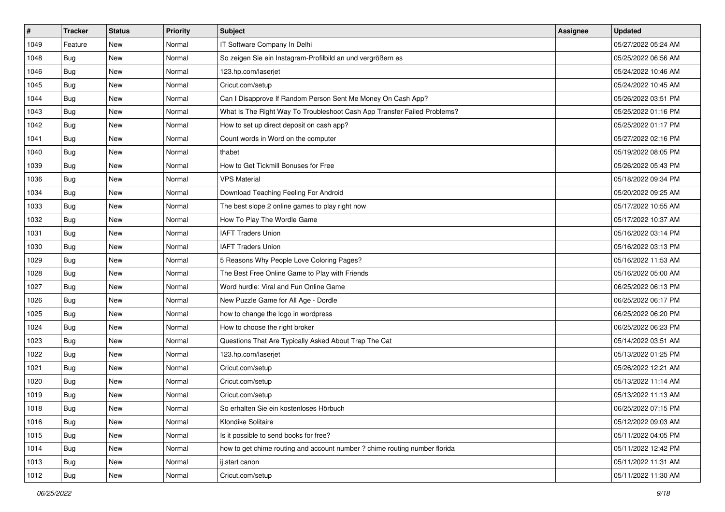| #    | <b>Tracker</b> | <b>Status</b> | Priority | <b>Subject</b>                                                             | Assignee | <b>Updated</b>      |
|------|----------------|---------------|----------|----------------------------------------------------------------------------|----------|---------------------|
| 1049 | Feature        | New           | Normal   | IT Software Company In Delhi                                               |          | 05/27/2022 05:24 AM |
| 1048 | Bug            | <b>New</b>    | Normal   | So zeigen Sie ein Instagram-Profilbild an und vergrößern es                |          | 05/25/2022 06:56 AM |
| 1046 | Bug            | New           | Normal   | 123.hp.com/laserjet                                                        |          | 05/24/2022 10:46 AM |
| 1045 | Bug            | New           | Normal   | Cricut.com/setup                                                           |          | 05/24/2022 10:45 AM |
| 1044 | <b>Bug</b>     | <b>New</b>    | Normal   | Can I Disapprove If Random Person Sent Me Money On Cash App?               |          | 05/26/2022 03:51 PM |
| 1043 | Bug            | New           | Normal   | What Is The Right Way To Troubleshoot Cash App Transfer Failed Problems?   |          | 05/25/2022 01:16 PM |
| 1042 | Bug            | New           | Normal   | How to set up direct deposit on cash app?                                  |          | 05/25/2022 01:17 PM |
| 1041 | Bug            | New           | Normal   | Count words in Word on the computer                                        |          | 05/27/2022 02:16 PM |
| 1040 | Bug            | New           | Normal   | thabet                                                                     |          | 05/19/2022 08:05 PM |
| 1039 | Bug            | New           | Normal   | How to Get Tickmill Bonuses for Free                                       |          | 05/26/2022 05:43 PM |
| 1036 | Bug            | New           | Normal   | <b>VPS Material</b>                                                        |          | 05/18/2022 09:34 PM |
| 1034 | Bug            | New           | Normal   | Download Teaching Feeling For Android                                      |          | 05/20/2022 09:25 AM |
| 1033 | Bug            | New           | Normal   | The best slope 2 online games to play right now                            |          | 05/17/2022 10:55 AM |
| 1032 | Bug            | New           | Normal   | How To Play The Wordle Game                                                |          | 05/17/2022 10:37 AM |
| 1031 | <b>Bug</b>     | New           | Normal   | <b>IAFT Traders Union</b>                                                  |          | 05/16/2022 03:14 PM |
| 1030 | Bug            | New           | Normal   | <b>IAFT Traders Union</b>                                                  |          | 05/16/2022 03:13 PM |
| 1029 | Bug            | New           | Normal   | 5 Reasons Why People Love Coloring Pages?                                  |          | 05/16/2022 11:53 AM |
| 1028 | Bug            | New           | Normal   | The Best Free Online Game to Play with Friends                             |          | 05/16/2022 05:00 AM |
| 1027 | Bug            | New           | Normal   | Word hurdle: Viral and Fun Online Game                                     |          | 06/25/2022 06:13 PM |
| 1026 | Bug            | <b>New</b>    | Normal   | New Puzzle Game for All Age - Dordle                                       |          | 06/25/2022 06:17 PM |
| 1025 | Bug            | New           | Normal   | how to change the logo in wordpress                                        |          | 06/25/2022 06:20 PM |
| 1024 | Bug            | New           | Normal   | How to choose the right broker                                             |          | 06/25/2022 06:23 PM |
| 1023 | Bug            | <b>New</b>    | Normal   | Questions That Are Typically Asked About Trap The Cat                      |          | 05/14/2022 03:51 AM |
| 1022 | Bug            | New           | Normal   | 123.hp.com/laserjet                                                        |          | 05/13/2022 01:25 PM |
| 1021 | Bug            | New           | Normal   | Cricut.com/setup                                                           |          | 05/26/2022 12:21 AM |
| 1020 | Bug            | New           | Normal   | Cricut.com/setup                                                           |          | 05/13/2022 11:14 AM |
| 1019 | Bug            | New           | Normal   | Cricut.com/setup                                                           |          | 05/13/2022 11:13 AM |
| 1018 | <b>Bug</b>     | New           | Normal   | So erhalten Sie ein kostenloses Hörbuch                                    |          | 06/25/2022 07:15 PM |
| 1016 | Bug            | New           | Normal   | Klondike Solitaire                                                         |          | 05/12/2022 09:03 AM |
| 1015 | Bug            | New           | Normal   | Is it possible to send books for free?                                     |          | 05/11/2022 04:05 PM |
| 1014 | Bug            | New           | Normal   | how to get chime routing and account number ? chime routing number florida |          | 05/11/2022 12:42 PM |
| 1013 | Bug            | New           | Normal   | ij.start canon                                                             |          | 05/11/2022 11:31 AM |
| 1012 | <b>Bug</b>     | New           | Normal   | Cricut.com/setup                                                           |          | 05/11/2022 11:30 AM |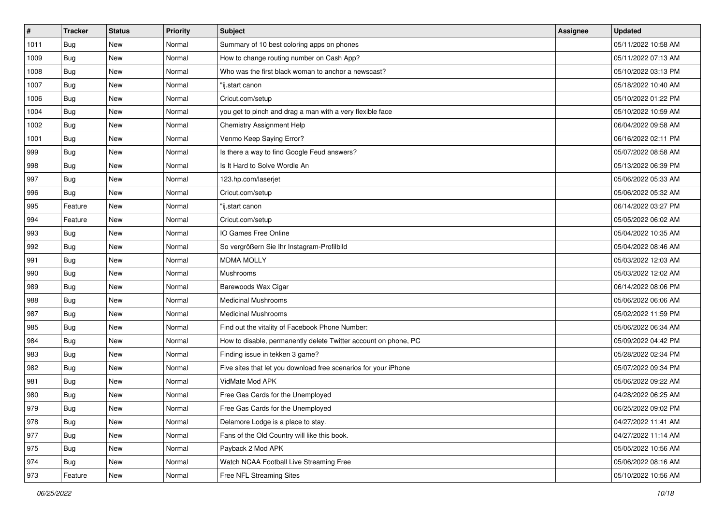| $\vert$ # | <b>Tracker</b> | <b>Status</b> | <b>Priority</b> | <b>Subject</b>                                                  | Assignee | <b>Updated</b>      |
|-----------|----------------|---------------|-----------------|-----------------------------------------------------------------|----------|---------------------|
| 1011      | <b>Bug</b>     | New           | Normal          | Summary of 10 best coloring apps on phones                      |          | 05/11/2022 10:58 AM |
| 1009      | Bug            | <b>New</b>    | Normal          | How to change routing number on Cash App?                       |          | 05/11/2022 07:13 AM |
| 1008      | <b>Bug</b>     | New           | Normal          | Who was the first black woman to anchor a newscast?             |          | 05/10/2022 03:13 PM |
| 1007      | Bug            | <b>New</b>    | Normal          | "ij.start canon                                                 |          | 05/18/2022 10:40 AM |
| 1006      | Bug            | <b>New</b>    | Normal          | Cricut.com/setup                                                |          | 05/10/2022 01:22 PM |
| 1004      | Bug            | <b>New</b>    | Normal          | you get to pinch and drag a man with a very flexible face       |          | 05/10/2022 10:59 AM |
| 1002      | Bug            | <b>New</b>    | Normal          | <b>Chemistry Assignment Help</b>                                |          | 06/04/2022 09:58 AM |
| 1001      | Bug            | <b>New</b>    | Normal          | Venmo Keep Saying Error?                                        |          | 06/16/2022 02:11 PM |
| 999       | Bug            | <b>New</b>    | Normal          | Is there a way to find Google Feud answers?                     |          | 05/07/2022 08:58 AM |
| 998       | Bug            | <b>New</b>    | Normal          | Is It Hard to Solve Wordle An                                   |          | 05/13/2022 06:39 PM |
| 997       | Bug            | New           | Normal          | 123.hp.com/laserjet                                             |          | 05/06/2022 05:33 AM |
| 996       | Bug            | <b>New</b>    | Normal          | Cricut.com/setup                                                |          | 05/06/2022 05:32 AM |
| 995       | Feature        | <b>New</b>    | Normal          | "ij.start canon                                                 |          | 06/14/2022 03:27 PM |
| 994       | Feature        | <b>New</b>    | Normal          | Cricut.com/setup                                                |          | 05/05/2022 06:02 AM |
| 993       | Bug            | <b>New</b>    | Normal          | IO Games Free Online                                            |          | 05/04/2022 10:35 AM |
| 992       | Bug            | New           | Normal          | So vergrößern Sie Ihr Instagram-Profilbild                      |          | 05/04/2022 08:46 AM |
| 991       | Bug            | <b>New</b>    | Normal          | <b>MDMA MOLLY</b>                                               |          | 05/03/2022 12:03 AM |
| 990       | Bug            | New           | Normal          | Mushrooms                                                       |          | 05/03/2022 12:02 AM |
| 989       | Bug            | <b>New</b>    | Normal          | Barewoods Wax Cigar                                             |          | 06/14/2022 08:06 PM |
| 988       | Bug            | <b>New</b>    | Normal          | <b>Medicinal Mushrooms</b>                                      |          | 05/06/2022 06:06 AM |
| 987       | Bug            | New           | Normal          | <b>Medicinal Mushrooms</b>                                      |          | 05/02/2022 11:59 PM |
| 985       | Bug            | <b>New</b>    | Normal          | Find out the vitality of Facebook Phone Number:                 |          | 05/06/2022 06:34 AM |
| 984       | Bug            | <b>New</b>    | Normal          | How to disable, permanently delete Twitter account on phone, PC |          | 05/09/2022 04:42 PM |
| 983       | Bug            | <b>New</b>    | Normal          | Finding issue in tekken 3 game?                                 |          | 05/28/2022 02:34 PM |
| 982       | Bug            | <b>New</b>    | Normal          | Five sites that let you download free scenarios for your iPhone |          | 05/07/2022 09:34 PM |
| 981       | Bug            | <b>New</b>    | Normal          | VidMate Mod APK                                                 |          | 05/06/2022 09:22 AM |
| 980       | <b>Bug</b>     | New           | Normal          | Free Gas Cards for the Unemployed                               |          | 04/28/2022 06:25 AM |
| 979       | <b>Bug</b>     | New           | Normal          | Free Gas Cards for the Unemployed                               |          | 06/25/2022 09:02 PM |
| 978       | Bug            | New           | Normal          | Delamore Lodge is a place to stay.                              |          | 04/27/2022 11:41 AM |
| 977       | Bug            | New           | Normal          | Fans of the Old Country will like this book.                    |          | 04/27/2022 11:14 AM |
| 975       | Bug            | New           | Normal          | Payback 2 Mod APK                                               |          | 05/05/2022 10:56 AM |
| 974       | <b>Bug</b>     | New           | Normal          | Watch NCAA Football Live Streaming Free                         |          | 05/06/2022 08:16 AM |
| 973       | Feature        | New           | Normal          | Free NFL Streaming Sites                                        |          | 05/10/2022 10:56 AM |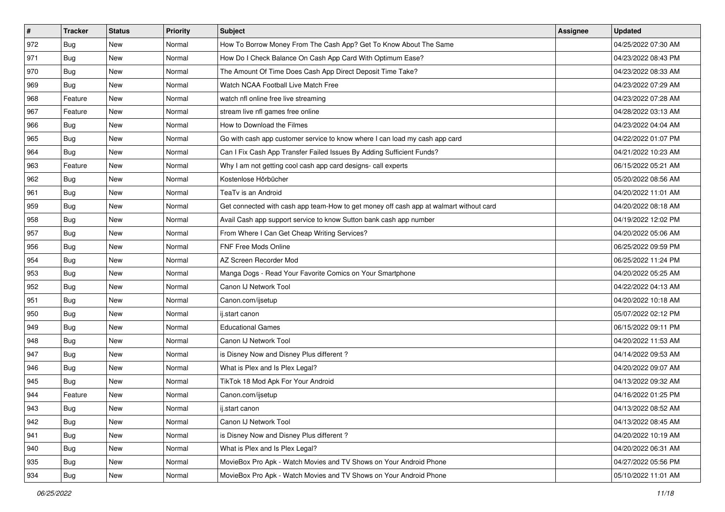| $\sharp$ | <b>Tracker</b> | <b>Status</b> | <b>Priority</b> | <b>Subject</b>                                                                         | Assignee | <b>Updated</b>      |
|----------|----------------|---------------|-----------------|----------------------------------------------------------------------------------------|----------|---------------------|
| 972      | <b>Bug</b>     | New           | Normal          | How To Borrow Money From The Cash App? Get To Know About The Same                      |          | 04/25/2022 07:30 AM |
| 971      | <b>Bug</b>     | New           | Normal          | How Do I Check Balance On Cash App Card With Optimum Ease?                             |          | 04/23/2022 08:43 PM |
| 970      | <b>Bug</b>     | New           | Normal          | The Amount Of Time Does Cash App Direct Deposit Time Take?                             |          | 04/23/2022 08:33 AM |
| 969      | Bug            | <b>New</b>    | Normal          | Watch NCAA Football Live Match Free                                                    |          | 04/23/2022 07:29 AM |
| 968      | Feature        | <b>New</b>    | Normal          | watch nfl online free live streaming                                                   |          | 04/23/2022 07:28 AM |
| 967      | Feature        | New           | Normal          | stream live nfl games free online                                                      |          | 04/28/2022 03:13 AM |
| 966      | Bug            | New           | Normal          | How to Download the Filmes                                                             |          | 04/23/2022 04:04 AM |
| 965      | Bug            | New           | Normal          | Go with cash app customer service to know where I can load my cash app card            |          | 04/22/2022 01:07 PM |
| 964      | Bug            | New           | Normal          | Can I Fix Cash App Transfer Failed Issues By Adding Sufficient Funds?                  |          | 04/21/2022 10:23 AM |
| 963      | Feature        | New           | Normal          | Why I am not getting cool cash app card designs- call experts                          |          | 06/15/2022 05:21 AM |
| 962      | <b>Bug</b>     | New           | Normal          | Kostenlose Hörbücher                                                                   |          | 05/20/2022 08:56 AM |
| 961      | Bug            | New           | Normal          | TeaTv is an Android                                                                    |          | 04/20/2022 11:01 AM |
| 959      | Bug            | New           | Normal          | Get connected with cash app team-How to get money off cash app at walmart without card |          | 04/20/2022 08:18 AM |
| 958      | Bug            | New           | Normal          | Avail Cash app support service to know Sutton bank cash app number                     |          | 04/19/2022 12:02 PM |
| 957      | <b>Bug</b>     | New           | Normal          | From Where I Can Get Cheap Writing Services?                                           |          | 04/20/2022 05:06 AM |
| 956      | Bug            | New           | Normal          | FNF Free Mods Online                                                                   |          | 06/25/2022 09:59 PM |
| 954      | Bug            | New           | Normal          | AZ Screen Recorder Mod                                                                 |          | 06/25/2022 11:24 PM |
| 953      | <b>Bug</b>     | New           | Normal          | Manga Dogs - Read Your Favorite Comics on Your Smartphone                              |          | 04/20/2022 05:25 AM |
| 952      | Bug            | New           | Normal          | Canon IJ Network Tool                                                                  |          | 04/22/2022 04:13 AM |
| 951      | Bug            | New           | Normal          | Canon.com/ijsetup                                                                      |          | 04/20/2022 10:18 AM |
| 950      | Bug            | New           | Normal          | ij.start canon                                                                         |          | 05/07/2022 02:12 PM |
| 949      | Bug            | New           | Normal          | <b>Educational Games</b>                                                               |          | 06/15/2022 09:11 PM |
| 948      | Bug            | New           | Normal          | Canon IJ Network Tool                                                                  |          | 04/20/2022 11:53 AM |
| 947      | Bug            | New           | Normal          | is Disney Now and Disney Plus different?                                               |          | 04/14/2022 09:53 AM |
| 946      | Bug            | New           | Normal          | What is Plex and Is Plex Legal?                                                        |          | 04/20/2022 09:07 AM |
| 945      | Bug            | New           | Normal          | TikTok 18 Mod Apk For Your Android                                                     |          | 04/13/2022 09:32 AM |
| 944      | Feature        | New           | Normal          | Canon.com/ijsetup                                                                      |          | 04/16/2022 01:25 PM |
| 943      | Bug            | New           | Normal          | ij.start canon                                                                         |          | 04/13/2022 08:52 AM |
| 942      | Bug            | New           | Normal          | Canon IJ Network Tool                                                                  |          | 04/13/2022 08:45 AM |
| 941      | Bug            | New           | Normal          | is Disney Now and Disney Plus different?                                               |          | 04/20/2022 10:19 AM |
| 940      | <b>Bug</b>     | New           | Normal          | What is Plex and Is Plex Legal?                                                        |          | 04/20/2022 06:31 AM |
| 935      | Bug            | New           | Normal          | MovieBox Pro Apk - Watch Movies and TV Shows on Your Android Phone                     |          | 04/27/2022 05:56 PM |
| 934      | <b>Bug</b>     | New           | Normal          | MovieBox Pro Apk - Watch Movies and TV Shows on Your Android Phone                     |          | 05/10/2022 11:01 AM |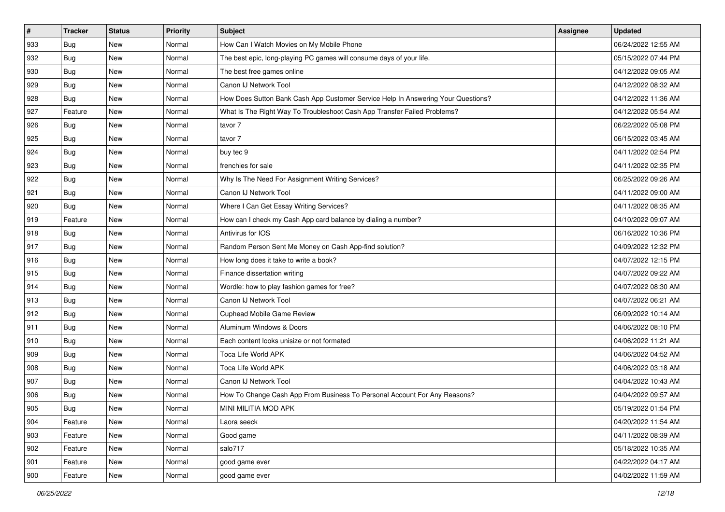| $\sharp$ | <b>Tracker</b> | <b>Status</b> | <b>Priority</b> | <b>Subject</b>                                                                   | Assignee | <b>Updated</b>      |
|----------|----------------|---------------|-----------------|----------------------------------------------------------------------------------|----------|---------------------|
| 933      | Bug            | New           | Normal          | How Can I Watch Movies on My Mobile Phone                                        |          | 06/24/2022 12:55 AM |
| 932      | <b>Bug</b>     | New           | Normal          | The best epic, long-playing PC games will consume days of your life.             |          | 05/15/2022 07:44 PM |
| 930      | <b>Bug</b>     | New           | Normal          | The best free games online                                                       |          | 04/12/2022 09:05 AM |
| 929      | Bug            | <b>New</b>    | Normal          | Canon IJ Network Tool                                                            |          | 04/12/2022 08:32 AM |
| 928      | <b>Bug</b>     | <b>New</b>    | Normal          | How Does Sutton Bank Cash App Customer Service Help In Answering Your Questions? |          | 04/12/2022 11:36 AM |
| 927      | Feature        | New           | Normal          | What Is The Right Way To Troubleshoot Cash App Transfer Failed Problems?         |          | 04/12/2022 05:54 AM |
| 926      | Bug            | New           | Normal          | tavor 7                                                                          |          | 06/22/2022 05:08 PM |
| 925      | <b>Bug</b>     | New           | Normal          | tavor 7                                                                          |          | 06/15/2022 03:45 AM |
| 924      | Bug            | New           | Normal          | buy tec 9                                                                        |          | 04/11/2022 02:54 PM |
| 923      | Bug            | New           | Normal          | frenchies for sale                                                               |          | 04/11/2022 02:35 PM |
| 922      | <b>Bug</b>     | New           | Normal          | Why Is The Need For Assignment Writing Services?                                 |          | 06/25/2022 09:26 AM |
| 921      | Bug            | New           | Normal          | Canon IJ Network Tool                                                            |          | 04/11/2022 09:00 AM |
| 920      | <b>Bug</b>     | <b>New</b>    | Normal          | Where I Can Get Essay Writing Services?                                          |          | 04/11/2022 08:35 AM |
| 919      | Feature        | <b>New</b>    | Normal          | How can I check my Cash App card balance by dialing a number?                    |          | 04/10/2022 09:07 AM |
| 918      | <b>Bug</b>     | New           | Normal          | Antivirus for IOS                                                                |          | 06/16/2022 10:36 PM |
| 917      | Bug            | New           | Normal          | Random Person Sent Me Money on Cash App-find solution?                           |          | 04/09/2022 12:32 PM |
| 916      | Bug            | New           | Normal          | How long does it take to write a book?                                           |          | 04/07/2022 12:15 PM |
| 915      | <b>Bug</b>     | New           | Normal          | Finance dissertation writing                                                     |          | 04/07/2022 09:22 AM |
| 914      | Bug            | New           | Normal          | Wordle: how to play fashion games for free?                                      |          | 04/07/2022 08:30 AM |
| 913      | Bug            | New           | Normal          | Canon IJ Network Tool                                                            |          | 04/07/2022 06:21 AM |
| 912      | Bug            | New           | Normal          | <b>Cuphead Mobile Game Review</b>                                                |          | 06/09/2022 10:14 AM |
| 911      | Bug            | New           | Normal          | Aluminum Windows & Doors                                                         |          | 04/06/2022 08:10 PM |
| 910      | Bug            | <b>New</b>    | Normal          | Each content looks unisize or not formated                                       |          | 04/06/2022 11:21 AM |
| 909      | Bug            | New           | Normal          | Toca Life World APK                                                              |          | 04/06/2022 04:52 AM |
| 908      | Bug            | New           | Normal          | Toca Life World APK                                                              |          | 04/06/2022 03:18 AM |
| 907      | Bug            | New           | Normal          | Canon IJ Network Tool                                                            |          | 04/04/2022 10:43 AM |
| 906      | <b>Bug</b>     | New           | Normal          | How To Change Cash App From Business To Personal Account For Any Reasons?        |          | 04/04/2022 09:57 AM |
| 905      | Bug            | New           | Normal          | MINI MILITIA MOD APK                                                             |          | 05/19/2022 01:54 PM |
| 904      | Feature        | New           | Normal          | Laora seeck                                                                      |          | 04/20/2022 11:54 AM |
| 903      | Feature        | New           | Normal          | Good game                                                                        |          | 04/11/2022 08:39 AM |
| 902      | Feature        | New           | Normal          | salo717                                                                          |          | 05/18/2022 10:35 AM |
| 901      | Feature        | New           | Normal          | good game ever                                                                   |          | 04/22/2022 04:17 AM |
| 900      | Feature        | New           | Normal          | good game ever                                                                   |          | 04/02/2022 11:59 AM |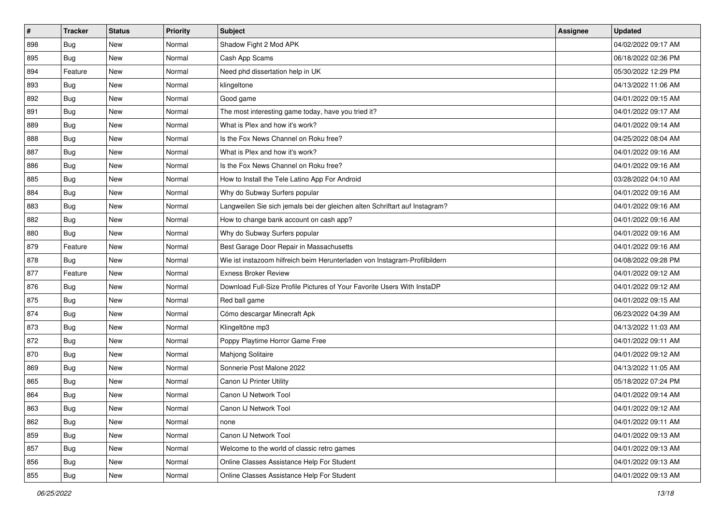| $\#$ | <b>Tracker</b> | <b>Status</b> | <b>Priority</b> | Subject                                                                     | <b>Assignee</b> | <b>Updated</b>      |
|------|----------------|---------------|-----------------|-----------------------------------------------------------------------------|-----------------|---------------------|
| 898  | <b>Bug</b>     | New           | Normal          | Shadow Fight 2 Mod APK                                                      |                 | 04/02/2022 09:17 AM |
| 895  | <b>Bug</b>     | <b>New</b>    | Normal          | Cash App Scams                                                              |                 | 06/18/2022 02:36 PM |
| 894  | Feature        | New           | Normal          | Need phd dissertation help in UK                                            |                 | 05/30/2022 12:29 PM |
| 893  | Bug            | <b>New</b>    | Normal          | klingeltone                                                                 |                 | 04/13/2022 11:06 AM |
| 892  | <b>Bug</b>     | <b>New</b>    | Normal          | Good game                                                                   |                 | 04/01/2022 09:15 AM |
| 891  | <b>Bug</b>     | New           | Normal          | The most interesting game today, have you tried it?                         |                 | 04/01/2022 09:17 AM |
| 889  | Bug            | New           | Normal          | What is Plex and how it's work?                                             |                 | 04/01/2022 09:14 AM |
| 888  | Bug            | New           | Normal          | Is the Fox News Channel on Roku free?                                       |                 | 04/25/2022 08:04 AM |
| 887  | Bug            | New           | Normal          | What is Plex and how it's work?                                             |                 | 04/01/2022 09:16 AM |
| 886  | Bug            | <b>New</b>    | Normal          | Is the Fox News Channel on Roku free?                                       |                 | 04/01/2022 09:16 AM |
| 885  | Bug            | New           | Normal          | How to Install the Tele Latino App For Android                              |                 | 03/28/2022 04:10 AM |
| 884  | Bug            | New           | Normal          | Why do Subway Surfers popular                                               |                 | 04/01/2022 09:16 AM |
| 883  | Bug            | New           | Normal          | Langweilen Sie sich jemals bei der gleichen alten Schriftart auf Instagram? |                 | 04/01/2022 09:16 AM |
| 882  | Bug            | <b>New</b>    | Normal          | How to change bank account on cash app?                                     |                 | 04/01/2022 09:16 AM |
| 880  | <b>Bug</b>     | <b>New</b>    | Normal          | Why do Subway Surfers popular                                               |                 | 04/01/2022 09:16 AM |
| 879  | Feature        | New           | Normal          | Best Garage Door Repair in Massachusetts                                    |                 | 04/01/2022 09:16 AM |
| 878  | Bug            | New           | Normal          | Wie ist instazoom hilfreich beim Herunterladen von Instagram-Profilbildern  |                 | 04/08/2022 09:28 PM |
| 877  | Feature        | <b>New</b>    | Normal          | <b>Exness Broker Review</b>                                                 |                 | 04/01/2022 09:12 AM |
| 876  | Bug            | New           | Normal          | Download Full-Size Profile Pictures of Your Favorite Users With InstaDP     |                 | 04/01/2022 09:12 AM |
| 875  | Bug            | <b>New</b>    | Normal          | Red ball game                                                               |                 | 04/01/2022 09:15 AM |
| 874  | Bug            | New           | Normal          | Cómo descargar Minecraft Apk                                                |                 | 06/23/2022 04:39 AM |
| 873  | Bug            | New           | Normal          | Klingeltöne mp3                                                             |                 | 04/13/2022 11:03 AM |
| 872  | Bug            | <b>New</b>    | Normal          | Poppy Playtime Horror Game Free                                             |                 | 04/01/2022 09:11 AM |
| 870  | Bug            | New           | Normal          | Mahjong Solitaire                                                           |                 | 04/01/2022 09:12 AM |
| 869  | Bug            | New           | Normal          | Sonnerie Post Malone 2022                                                   |                 | 04/13/2022 11:05 AM |
| 865  | Bug            | New           | Normal          | Canon IJ Printer Utility                                                    |                 | 05/18/2022 07:24 PM |
| 864  | <b>Bug</b>     | New           | Normal          | Canon IJ Network Tool                                                       |                 | 04/01/2022 09:14 AM |
| 863  | i Bug          | I New         | Normal          | Canon IJ Network Tool                                                       |                 | 04/01/2022 09:12 AM |
| 862  | Bug            | New           | Normal          | none                                                                        |                 | 04/01/2022 09:11 AM |
| 859  | <b>Bug</b>     | New           | Normal          | Canon IJ Network Tool                                                       |                 | 04/01/2022 09:13 AM |
| 857  | <b>Bug</b>     | New           | Normal          | Welcome to the world of classic retro games                                 |                 | 04/01/2022 09:13 AM |
| 856  | <b>Bug</b>     | New           | Normal          | Online Classes Assistance Help For Student                                  |                 | 04/01/2022 09:13 AM |
| 855  | <b>Bug</b>     | New           | Normal          | Online Classes Assistance Help For Student                                  |                 | 04/01/2022 09:13 AM |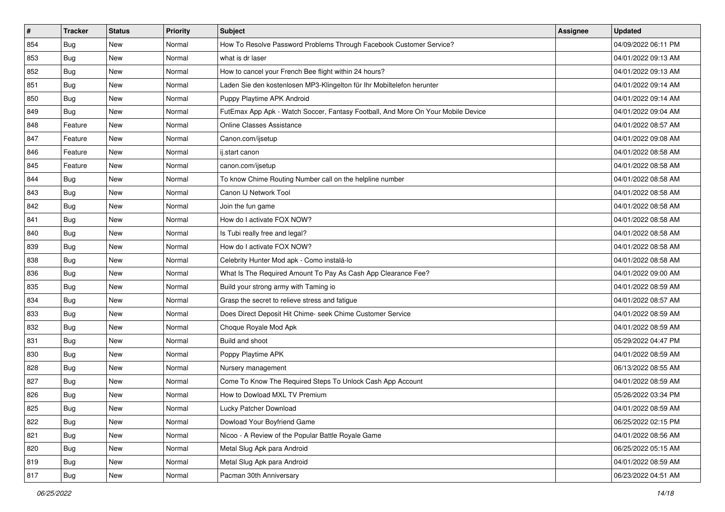| #   | <b>Tracker</b> | <b>Status</b> | <b>Priority</b> | <b>Subject</b>                                                                   | Assignee | <b>Updated</b>      |
|-----|----------------|---------------|-----------------|----------------------------------------------------------------------------------|----------|---------------------|
| 854 | Bug            | New           | Normal          | How To Resolve Password Problems Through Facebook Customer Service?              |          | 04/09/2022 06:11 PM |
| 853 | Bug            | <b>New</b>    | Normal          | what is dr laser                                                                 |          | 04/01/2022 09:13 AM |
| 852 | Bug            | New           | Normal          | How to cancel your French Bee flight within 24 hours?                            |          | 04/01/2022 09:13 AM |
| 851 | Bug            | <b>New</b>    | Normal          | Laden Sie den kostenlosen MP3-Klingelton für Ihr Mobiltelefon herunter           |          | 04/01/2022 09:14 AM |
| 850 | Bug            | <b>New</b>    | Normal          | Puppy Playtime APK Android                                                       |          | 04/01/2022 09:14 AM |
| 849 | Bug            | New           | Normal          | FutEmax App Apk - Watch Soccer, Fantasy Football, And More On Your Mobile Device |          | 04/01/2022 09:04 AM |
| 848 | Feature        | <b>New</b>    | Normal          | <b>Online Classes Assistance</b>                                                 |          | 04/01/2022 08:57 AM |
| 847 | Feature        | <b>New</b>    | Normal          | Canon.com/ijsetup                                                                |          | 04/01/2022 09:08 AM |
| 846 | Feature        | New           | Normal          | ij.start canon                                                                   |          | 04/01/2022 08:58 AM |
| 845 | Feature        | <b>New</b>    | Normal          | canon.com/ijsetup                                                                |          | 04/01/2022 08:58 AM |
| 844 | Bug            | New           | Normal          | To know Chime Routing Number call on the helpline number                         |          | 04/01/2022 08:58 AM |
| 843 | Bug            | <b>New</b>    | Normal          | Canon IJ Network Tool                                                            |          | 04/01/2022 08:58 AM |
| 842 | Bug            | New           | Normal          | Join the fun game                                                                |          | 04/01/2022 08:58 AM |
| 841 | <b>Bug</b>     | <b>New</b>    | Normal          | How do I activate FOX NOW?                                                       |          | 04/01/2022 08:58 AM |
| 840 | <b>Bug</b>     | New           | Normal          | Is Tubi really free and legal?                                                   |          | 04/01/2022 08:58 AM |
| 839 | <b>Bug</b>     | New           | Normal          | How do I activate FOX NOW?                                                       |          | 04/01/2022 08:58 AM |
| 838 | Bug            | <b>New</b>    | Normal          | Celebrity Hunter Mod apk - Como instalá-lo                                       |          | 04/01/2022 08:58 AM |
| 836 | Bug            | <b>New</b>    | Normal          | What Is The Required Amount To Pay As Cash App Clearance Fee?                    |          | 04/01/2022 09:00 AM |
| 835 | Bug            | <b>New</b>    | Normal          | Build your strong army with Taming io                                            |          | 04/01/2022 08:59 AM |
| 834 | Bug            | <b>New</b>    | Normal          | Grasp the secret to relieve stress and fatigue                                   |          | 04/01/2022 08:57 AM |
| 833 | <b>Bug</b>     | <b>New</b>    | Normal          | Does Direct Deposit Hit Chime- seek Chime Customer Service                       |          | 04/01/2022 08:59 AM |
| 832 | Bug            | <b>New</b>    | Normal          | Choque Royale Mod Apk                                                            |          | 04/01/2022 08:59 AM |
| 831 | Bug            | <b>New</b>    | Normal          | Build and shoot                                                                  |          | 05/29/2022 04:47 PM |
| 830 | Bug            | New           | Normal          | Poppy Playtime APK                                                               |          | 04/01/2022 08:59 AM |
| 828 | <b>Bug</b>     | <b>New</b>    | Normal          | Nursery management                                                               |          | 06/13/2022 08:55 AM |
| 827 | Bug            | <b>New</b>    | Normal          | Come To Know The Required Steps To Unlock Cash App Account                       |          | 04/01/2022 08:59 AM |
| 826 | <b>Bug</b>     | New           | Normal          | How to Dowload MXL TV Premium                                                    |          | 05/26/2022 03:34 PM |
| 825 | <b>Bug</b>     | New           | Normal          | Lucky Patcher Download                                                           |          | 04/01/2022 08:59 AM |
| 822 | Bug            | New           | Normal          | Dowload Your Boyfriend Game                                                      |          | 06/25/2022 02:15 PM |
| 821 | <b>Bug</b>     | New           | Normal          | Nicoo - A Review of the Popular Battle Royale Game                               |          | 04/01/2022 08:56 AM |
| 820 | Bug            | New           | Normal          | Metal Slug Apk para Android                                                      |          | 06/25/2022 05:15 AM |
| 819 | <b>Bug</b>     | New           | Normal          | Metal Slug Apk para Android                                                      |          | 04/01/2022 08:59 AM |
| 817 | <b>Bug</b>     | New           | Normal          | Pacman 30th Anniversary                                                          |          | 06/23/2022 04:51 AM |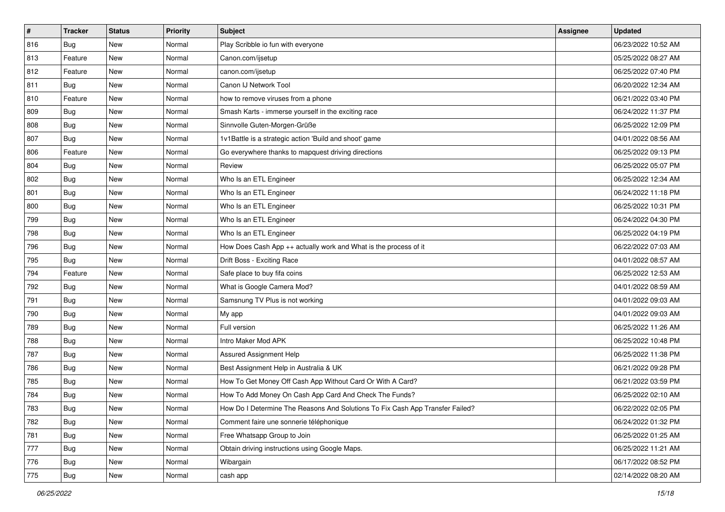| #   | <b>Tracker</b> | <b>Status</b> | <b>Priority</b> | <b>Subject</b>                                                                | <b>Assignee</b> | <b>Updated</b>      |
|-----|----------------|---------------|-----------------|-------------------------------------------------------------------------------|-----------------|---------------------|
| 816 | <b>Bug</b>     | New           | Normal          | Play Scribble io fun with everyone                                            |                 | 06/23/2022 10:52 AM |
| 813 | Feature        | <b>New</b>    | Normal          | Canon.com/ijsetup                                                             |                 | 05/25/2022 08:27 AM |
| 812 | Feature        | New           | Normal          | canon.com/ijsetup                                                             |                 | 06/25/2022 07:40 PM |
| 811 | Bug            | <b>New</b>    | Normal          | Canon IJ Network Tool                                                         |                 | 06/20/2022 12:34 AM |
| 810 | Feature        | <b>New</b>    | Normal          | how to remove viruses from a phone                                            |                 | 06/21/2022 03:40 PM |
| 809 | <b>Bug</b>     | New           | Normal          | Smash Karts - immerse yourself in the exciting race                           |                 | 06/24/2022 11:37 PM |
| 808 | <b>Bug</b>     | New           | Normal          | Sinnvolle Guten-Morgen-Grüße                                                  |                 | 06/25/2022 12:09 PM |
| 807 | Bug            | New           | Normal          | 1v1Battle is a strategic action 'Build and shoot' game                        |                 | 04/01/2022 08:56 AM |
| 806 | Feature        | New           | Normal          | Go everywhere thanks to mapquest driving directions                           |                 | 06/25/2022 09:13 PM |
| 804 | <b>Bug</b>     | <b>New</b>    | Normal          | Review                                                                        |                 | 06/25/2022 05:07 PM |
| 802 | <b>Bug</b>     | New           | Normal          | Who Is an ETL Engineer                                                        |                 | 06/25/2022 12:34 AM |
| 801 | Bug            | New           | Normal          | Who Is an ETL Engineer                                                        |                 | 06/24/2022 11:18 PM |
| 800 | <b>Bug</b>     | New           | Normal          | Who Is an ETL Engineer                                                        |                 | 06/25/2022 10:31 PM |
| 799 | <b>Bug</b>     | New           | Normal          | Who Is an ETL Engineer                                                        |                 | 06/24/2022 04:30 PM |
| 798 | Bug            | New           | Normal          | Who Is an ETL Engineer                                                        |                 | 06/25/2022 04:19 PM |
| 796 | <b>Bug</b>     | New           | Normal          | How Does Cash App ++ actually work and What is the process of it              |                 | 06/22/2022 07:03 AM |
| 795 | Bug            | New           | Normal          | Drift Boss - Exciting Race                                                    |                 | 04/01/2022 08:57 AM |
| 794 | Feature        | <b>New</b>    | Normal          | Safe place to buy fifa coins                                                  |                 | 06/25/2022 12:53 AM |
| 792 | <b>Bug</b>     | New           | Normal          | What is Google Camera Mod?                                                    |                 | 04/01/2022 08:59 AM |
| 791 | <b>Bug</b>     | <b>New</b>    | Normal          | Samsnung TV Plus is not working                                               |                 | 04/01/2022 09:03 AM |
| 790 | <b>Bug</b>     | New           | Normal          | My app                                                                        |                 | 04/01/2022 09:03 AM |
| 789 | Bug            | New           | Normal          | Full version                                                                  |                 | 06/25/2022 11:26 AM |
| 788 | <b>Bug</b>     | <b>New</b>    | Normal          | Intro Maker Mod APK                                                           |                 | 06/25/2022 10:48 PM |
| 787 | <b>Bug</b>     | New           | Normal          | Assured Assignment Help                                                       |                 | 06/25/2022 11:38 PM |
| 786 | Bug            | New           | Normal          | Best Assignment Help in Australia & UK                                        |                 | 06/21/2022 09:28 PM |
| 785 | Bug            | New           | Normal          | How To Get Money Off Cash App Without Card Or With A Card?                    |                 | 06/21/2022 03:59 PM |
| 784 | Bug            | New           | Normal          | How To Add Money On Cash App Card And Check The Funds?                        |                 | 06/25/2022 02:10 AM |
| 783 | i Bug          | New           | Normal          | How Do I Determine The Reasons And Solutions To Fix Cash App Transfer Failed? |                 | 06/22/2022 02:05 PM |
| 782 | Bug            | New           | Normal          | Comment faire une sonnerie téléphonique                                       |                 | 06/24/2022 01:32 PM |
| 781 | Bug            | New           | Normal          | Free Whatsapp Group to Join                                                   |                 | 06/25/2022 01:25 AM |
| 777 | Bug            | New           | Normal          | Obtain driving instructions using Google Maps.                                |                 | 06/25/2022 11:21 AM |
| 776 | Bug            | New           | Normal          | Wibargain                                                                     |                 | 06/17/2022 08:52 PM |
| 775 | <b>Bug</b>     | New           | Normal          | cash app                                                                      |                 | 02/14/2022 08:20 AM |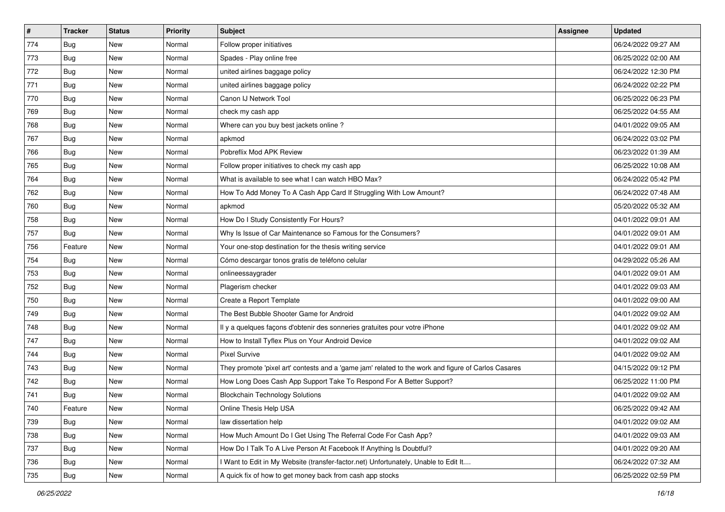| $\pmb{\#}$ | <b>Tracker</b> | <b>Status</b> | <b>Priority</b> | Subject                                                                                             | Assignee | <b>Updated</b>      |
|------------|----------------|---------------|-----------------|-----------------------------------------------------------------------------------------------------|----------|---------------------|
| 774        | Bug            | New           | Normal          | Follow proper initiatives                                                                           |          | 06/24/2022 09:27 AM |
| 773        | Bug            | <b>New</b>    | Normal          | Spades - Play online free                                                                           |          | 06/25/2022 02:00 AM |
| 772        | Bug            | New           | Normal          | united airlines baggage policy                                                                      |          | 06/24/2022 12:30 PM |
| 771        | Bug            | New           | Normal          | united airlines baggage policy                                                                      |          | 06/24/2022 02:22 PM |
| 770        | Bug            | New           | Normal          | Canon IJ Network Tool                                                                               |          | 06/25/2022 06:23 PM |
| 769        | Bug            | New           | Normal          | check my cash app                                                                                   |          | 06/25/2022 04:55 AM |
| 768        | Bug            | <b>New</b>    | Normal          | Where can you buy best jackets online?                                                              |          | 04/01/2022 09:05 AM |
| 767        | Bug            | New           | Normal          | apkmod                                                                                              |          | 06/24/2022 03:02 PM |
| 766        | Bug            | New           | Normal          | Pobreflix Mod APK Review                                                                            |          | 06/23/2022 01:39 AM |
| 765        | Bug            | <b>New</b>    | Normal          | Follow proper initiatives to check my cash app                                                      |          | 06/25/2022 10:08 AM |
| 764        | Bug            | New           | Normal          | What is available to see what I can watch HBO Max?                                                  |          | 06/24/2022 05:42 PM |
| 762        | Bug            | New           | Normal          | How To Add Money To A Cash App Card If Struggling With Low Amount?                                  |          | 06/24/2022 07:48 AM |
| 760        | <b>Bug</b>     | New           | Normal          | apkmod                                                                                              |          | 05/20/2022 05:32 AM |
| 758        | Bug            | New           | Normal          | How Do I Study Consistently For Hours?                                                              |          | 04/01/2022 09:01 AM |
| 757        | Bug            | New           | Normal          | Why Is Issue of Car Maintenance so Famous for the Consumers?                                        |          | 04/01/2022 09:01 AM |
| 756        | Feature        | New           | Normal          | Your one-stop destination for the thesis writing service                                            |          | 04/01/2022 09:01 AM |
| 754        | Bug            | New           | Normal          | Cómo descargar tonos gratis de teléfono celular                                                     |          | 04/29/2022 05:26 AM |
| 753        | Bug            | New           | Normal          | onlineessaygrader                                                                                   |          | 04/01/2022 09:01 AM |
| 752        | Bug            | New           | Normal          | Plagerism checker                                                                                   |          | 04/01/2022 09:03 AM |
| 750        | Bug            | <b>New</b>    | Normal          | Create a Report Template                                                                            |          | 04/01/2022 09:00 AM |
| 749        | Bug            | New           | Normal          | The Best Bubble Shooter Game for Android                                                            |          | 04/01/2022 09:02 AM |
| 748        | Bug            | New           | Normal          | Il y a quelques façons d'obtenir des sonneries gratuites pour votre iPhone                          |          | 04/01/2022 09:02 AM |
| 747        | Bug            | New           | Normal          | How to Install Tyflex Plus on Your Android Device                                                   |          | 04/01/2022 09:02 AM |
| 744        | Bug            | New           | Normal          | <b>Pixel Survive</b>                                                                                |          | 04/01/2022 09:02 AM |
| 743        | Bug            | New           | Normal          | They promote 'pixel art' contests and a 'game jam' related to the work and figure of Carlos Casares |          | 04/15/2022 09:12 PM |
| 742        | Bug            | New           | Normal          | How Long Does Cash App Support Take To Respond For A Better Support?                                |          | 06/25/2022 11:00 PM |
| 741        | Bug            | New           | Normal          | <b>Blockchain Technology Solutions</b>                                                              |          | 04/01/2022 09:02 AM |
| 740        | Feature        | New           | Normal          | Online Thesis Help USA                                                                              |          | 06/25/2022 09:42 AM |
| 739        | Bug            | New           | Normal          | law dissertation help                                                                               |          | 04/01/2022 09:02 AM |
| 738        | Bug            | New           | Normal          | How Much Amount Do I Get Using The Referral Code For Cash App?                                      |          | 04/01/2022 09:03 AM |
| 737        | Bug            | New           | Normal          | How Do I Talk To A Live Person At Facebook If Anything Is Doubtful?                                 |          | 04/01/2022 09:20 AM |
| 736        | Bug            | New           | Normal          | I Want to Edit in My Website (transfer-factor.net) Unfortunately, Unable to Edit It                 |          | 06/24/2022 07:32 AM |
| 735        | <b>Bug</b>     | New           | Normal          | A quick fix of how to get money back from cash app stocks                                           |          | 06/25/2022 02:59 PM |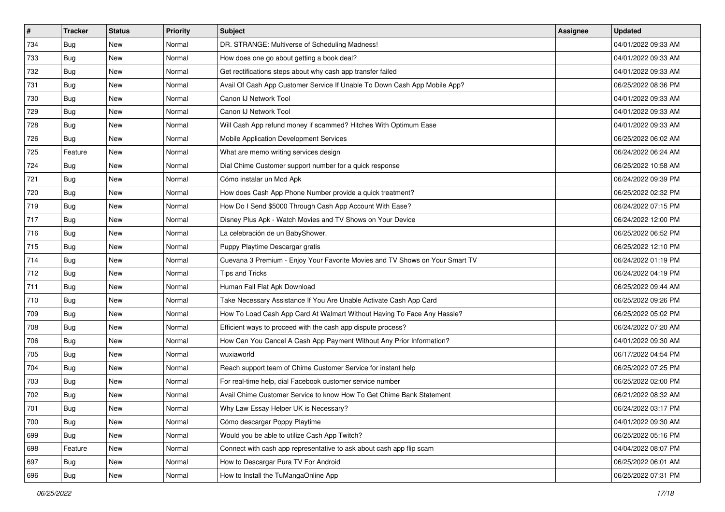| $\pmb{\#}$ | <b>Tracker</b> | <b>Status</b> | <b>Priority</b> | <b>Subject</b>                                                               | Assignee | <b>Updated</b>      |
|------------|----------------|---------------|-----------------|------------------------------------------------------------------------------|----------|---------------------|
| 734        | Bug            | New           | Normal          | DR. STRANGE: Multiverse of Scheduling Madness!                               |          | 04/01/2022 09:33 AM |
| 733        | Bug            | <b>New</b>    | Normal          | How does one go about getting a book deal?                                   |          | 04/01/2022 09:33 AM |
| 732        | Bug            | New           | Normal          | Get rectifications steps about why cash app transfer failed                  |          | 04/01/2022 09:33 AM |
| 731        | Bug            | New           | Normal          | Avail Of Cash App Customer Service If Unable To Down Cash App Mobile App?    |          | 06/25/2022 08:36 PM |
| 730        | Bug            | New           | Normal          | Canon IJ Network Tool                                                        |          | 04/01/2022 09:33 AM |
| 729        | Bug            | New           | Normal          | Canon IJ Network Tool                                                        |          | 04/01/2022 09:33 AM |
| 728        | Bug            | New           | Normal          | Will Cash App refund money if scammed? Hitches With Optimum Ease             |          | 04/01/2022 09:33 AM |
| 726        | Bug            | New           | Normal          | Mobile Application Development Services                                      |          | 06/25/2022 06:02 AM |
| 725        | Feature        | New           | Normal          | What are memo writing services design                                        |          | 06/24/2022 06:24 AM |
| 724        | Bug            | New           | Normal          | Dial Chime Customer support number for a quick response                      |          | 06/25/2022 10:58 AM |
| 721        | Bug            | New           | Normal          | Cómo instalar un Mod Apk                                                     |          | 06/24/2022 09:39 PM |
| 720        | Bug            | New           | Normal          | How does Cash App Phone Number provide a quick treatment?                    |          | 06/25/2022 02:32 PM |
| 719        | <b>Bug</b>     | New           | Normal          | How Do I Send \$5000 Through Cash App Account With Ease?                     |          | 06/24/2022 07:15 PM |
| 717        | Bug            | New           | Normal          | Disney Plus Apk - Watch Movies and TV Shows on Your Device                   |          | 06/24/2022 12:00 PM |
| 716        | Bug            | New           | Normal          | La celebración de un BabyShower.                                             |          | 06/25/2022 06:52 PM |
| 715        | Bug            | New           | Normal          | Puppy Playtime Descargar gratis                                              |          | 06/25/2022 12:10 PM |
| 714        | Bug            | New           | Normal          | Cuevana 3 Premium - Enjoy Your Favorite Movies and TV Shows on Your Smart TV |          | 06/24/2022 01:19 PM |
| 712        | Bug            | New           | Normal          | Tips and Tricks                                                              |          | 06/24/2022 04:19 PM |
| 711        | Bug            | New           | Normal          | Human Fall Flat Apk Download                                                 |          | 06/25/2022 09:44 AM |
| 710        | Bug            | <b>New</b>    | Normal          | Take Necessary Assistance If You Are Unable Activate Cash App Card           |          | 06/25/2022 09:26 PM |
| 709        | Bug            | New           | Normal          | How To Load Cash App Card At Walmart Without Having To Face Any Hassle?      |          | 06/25/2022 05:02 PM |
| 708        | Bug            | <b>New</b>    | Normal          | Efficient ways to proceed with the cash app dispute process?                 |          | 06/24/2022 07:20 AM |
| 706        | Bug            | New           | Normal          | How Can You Cancel A Cash App Payment Without Any Prior Information?         |          | 04/01/2022 09:30 AM |
| 705        | Bug            | New           | Normal          | wuxiaworld                                                                   |          | 06/17/2022 04:54 PM |
| 704        | Bug            | New           | Normal          | Reach support team of Chime Customer Service for instant help                |          | 06/25/2022 07:25 PM |
| 703        | Bug            | New           | Normal          | For real-time help, dial Facebook customer service number                    |          | 06/25/2022 02:00 PM |
| 702        | Bug            | New           | Normal          | Avail Chime Customer Service to know How To Get Chime Bank Statement         |          | 06/21/2022 08:32 AM |
| 701        | i Bug          | New           | Normal          | Why Law Essay Helper UK is Necessary?                                        |          | 06/24/2022 03:17 PM |
| 700        | Bug            | New           | Normal          | Cómo descargar Poppy Playtime                                                |          | 04/01/2022 09:30 AM |
| 699        | Bug            | New           | Normal          | Would you be able to utilize Cash App Twitch?                                |          | 06/25/2022 05:16 PM |
| 698        | Feature        | New           | Normal          | Connect with cash app representative to ask about cash app flip scam         |          | 04/04/2022 08:07 PM |
| 697        | Bug            | New           | Normal          | How to Descargar Pura TV For Android                                         |          | 06/25/2022 06:01 AM |
| 696        | <b>Bug</b>     | New           | Normal          | How to Install the TuMangaOnline App                                         |          | 06/25/2022 07:31 PM |